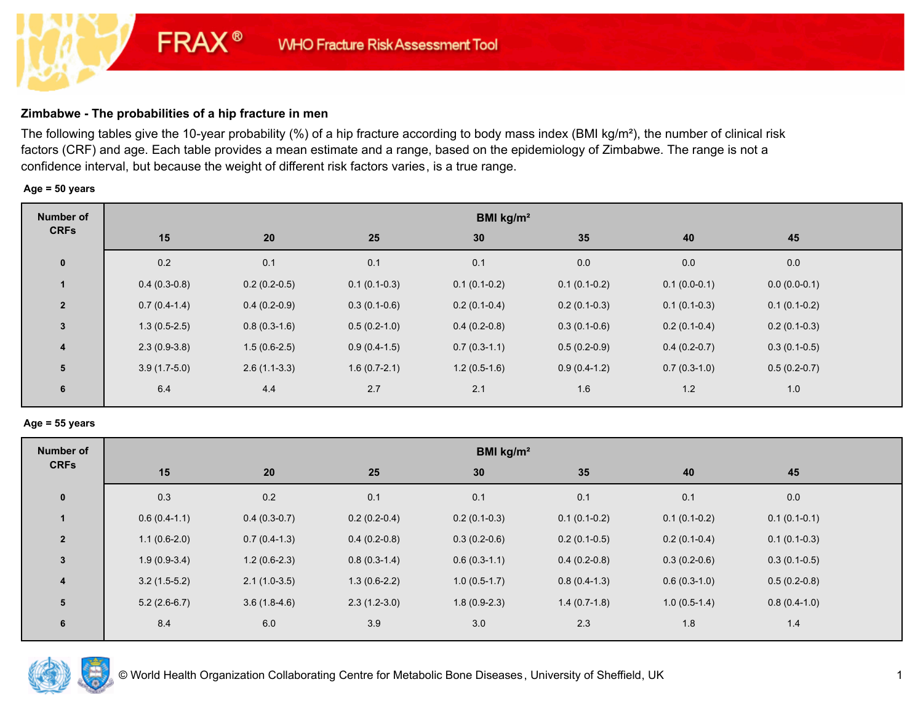# **Zimbabwe - The probabilities of a hip fracture in men**

**FRAX®** 

The following tables give the 10-year probability (%) of a hip fracture according to body mass index (BMI kg/m²), the number of clinical risk factors (CRF) and age. Each table provides a mean estimate and a range, based on the epidemiology of Zimbabwe. The range is not a confidence interval, but because the weight of different risk factors varies, is a true range.

### **Age = 50 years**

| Number of      | BMI kg/m <sup>2</sup> |                |                |                |                |                |                |  |
|----------------|-----------------------|----------------|----------------|----------------|----------------|----------------|----------------|--|
| <b>CRFs</b>    | 15                    | 20             | 25             | 30             | 35             | 40             | 45             |  |
| $\mathbf 0$    | 0.2                   | 0.1            | 0.1            | 0.1            | $0.0\,$        | 0.0            | 0.0            |  |
|                | $0.4(0.3-0.8)$        | $0.2(0.2-0.5)$ | $0.1(0.1-0.3)$ | $0.1(0.1-0.2)$ | $0.1(0.1-0.2)$ | $0.1(0.0-0.1)$ | $0.0(0.0-0.1)$ |  |
| $\overline{2}$ | $0.7(0.4-1.4)$        | $0.4(0.2-0.9)$ | $0.3(0.1-0.6)$ | $0.2(0.1-0.4)$ | $0.2(0.1-0.3)$ | $0.1(0.1-0.3)$ | $0.1(0.1-0.2)$ |  |
| $\mathbf{3}$   | $1.3(0.5-2.5)$        | $0.8(0.3-1.6)$ | $0.5(0.2-1.0)$ | $0.4(0.2-0.8)$ | $0.3(0.1-0.6)$ | $0.2(0.1-0.4)$ | $0.2(0.1-0.3)$ |  |
| $\overline{4}$ | $2.3(0.9-3.8)$        | $1.5(0.6-2.5)$ | $0.9(0.4-1.5)$ | $0.7(0.3-1.1)$ | $0.5(0.2-0.9)$ | $0.4(0.2-0.7)$ | $0.3(0.1-0.5)$ |  |
| 5              | $3.9(1.7-5.0)$        | $2.6(1.1-3.3)$ | $1.6(0.7-2.1)$ | $1.2(0.5-1.6)$ | $0.9(0.4-1.2)$ | $0.7(0.3-1.0)$ | $0.5(0.2-0.7)$ |  |
| 6              | 6.4                   | 4.4            | 2.7            | 2.1            | 1.6            | 1.2            | 1.0            |  |

### **Age = 55 years**

| BMI $kg/m2$ |                                                                                        |                                                                                                            |                                                    |                |                |  |  |
|-------------|----------------------------------------------------------------------------------------|------------------------------------------------------------------------------------------------------------|----------------------------------------------------|----------------|----------------|--|--|
| 15          | 25                                                                                     | 30                                                                                                         | 35                                                 | 40             | 45             |  |  |
| 0.3         | 0.1                                                                                    | 0.1                                                                                                        | 0.1                                                | 0.1            | 0.0            |  |  |
|             | $0.2(0.2-0.4)$                                                                         | $0.2(0.1-0.3)$                                                                                             | $0.1(0.1-0.2)$                                     | $0.1(0.1-0.2)$ | $0.1(0.1-0.1)$ |  |  |
|             |                                                                                        | $0.3(0.2-0.6)$                                                                                             | $0.2(0.1-0.5)$                                     | $0.2(0.1-0.4)$ | $0.1(0.1-0.3)$ |  |  |
|             | $0.8(0.3-1.4)$                                                                         | $0.6(0.3-1.1)$                                                                                             | $0.4(0.2-0.8)$                                     | $0.3(0.2-0.6)$ | $0.3(0.1-0.5)$ |  |  |
|             |                                                                                        | $1.0(0.5-1.7)$                                                                                             | $0.8(0.4-1.3)$                                     | $0.6(0.3-1.0)$ | $0.5(0.2-0.8)$ |  |  |
|             |                                                                                        | $1.8(0.9-2.3)$                                                                                             | $1.4(0.7-1.8)$                                     | $1.0(0.5-1.4)$ | $0.8(0.4-1.0)$ |  |  |
| 8.4         | 3.9                                                                                    | 3.0                                                                                                        | 2.3                                                | 1.8            | 1.4            |  |  |
|             | $0.6(0.4-1.1)$<br>$1.1(0.6-2.0)$<br>$1.9(0.9-3.4)$<br>$3.2(1.5-5.2)$<br>$5.2(2.6-6.7)$ | 20<br>0.2<br>$0.4(0.3-0.7)$<br>$0.7(0.4-1.3)$<br>$1.2(0.6-2.3)$<br>$2.1(1.0-3.5)$<br>$3.6(1.8-4.6)$<br>6.0 | $0.4(0.2-0.8)$<br>$1.3(0.6-2.2)$<br>$2.3(1.2-3.0)$ |                |                |  |  |

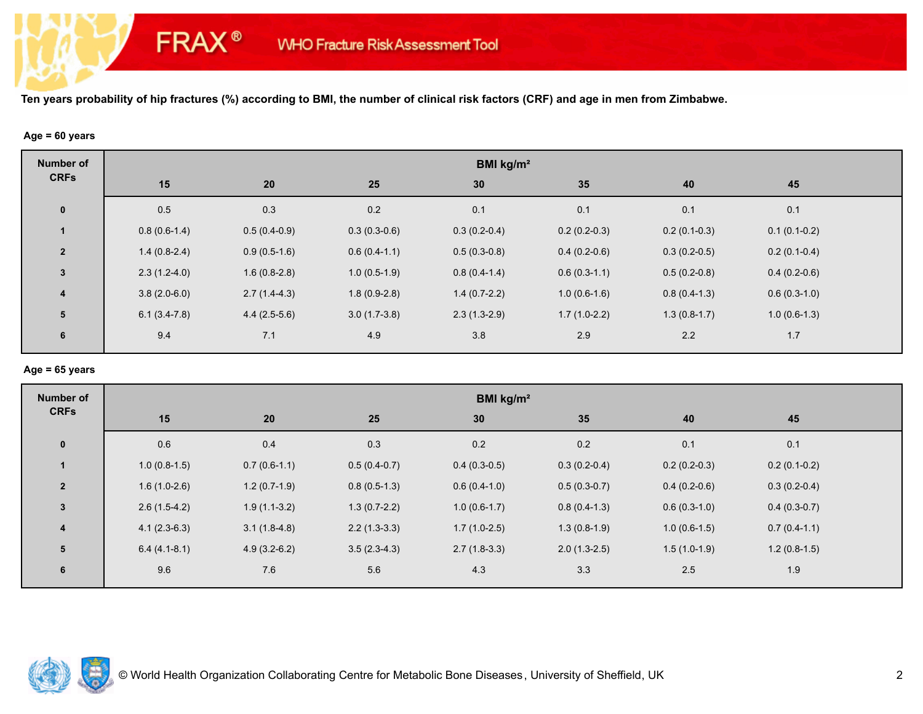### **Age = 60 years**

**FRAX®** 

| <b>Number of</b>        | BMI kg/m <sup>2</sup> |                |                |                |                |                |                |  |
|-------------------------|-----------------------|----------------|----------------|----------------|----------------|----------------|----------------|--|
| <b>CRFs</b>             | 15                    | 20             | 25             | 30             | 35             | 40             | 45             |  |
| $\mathbf 0$             | 0.5                   | 0.3            | 0.2            | 0.1            | 0.1            | 0.1            | 0.1            |  |
|                         | $0.8(0.6-1.4)$        | $0.5(0.4-0.9)$ | $0.3(0.3-0.6)$ | $0.3(0.2-0.4)$ | $0.2(0.2-0.3)$ | $0.2(0.1-0.3)$ | $0.1(0.1-0.2)$ |  |
| $\overline{2}$          | $1.4(0.8-2.4)$        | $0.9(0.5-1.6)$ | $0.6(0.4-1.1)$ | $0.5(0.3-0.8)$ | $0.4(0.2-0.6)$ | $0.3(0.2-0.5)$ | $0.2(0.1-0.4)$ |  |
| $\mathbf{3}$            | $2.3(1.2-4.0)$        | $1.6(0.8-2.8)$ | $1.0(0.5-1.9)$ | $0.8(0.4-1.4)$ | $0.6(0.3-1.1)$ | $0.5(0.2-0.8)$ | $0.4(0.2-0.6)$ |  |
| $\overline{\mathbf{4}}$ | $3.8(2.0-6.0)$        | $2.7(1.4-4.3)$ | $1.8(0.9-2.8)$ | $1.4(0.7-2.2)$ | $1.0(0.6-1.6)$ | $0.8(0.4-1.3)$ | $0.6(0.3-1.0)$ |  |
| 5                       | $6.1(3.4-7.8)$        | $4.4(2.5-5.6)$ | $3.0(1.7-3.8)$ | $2.3(1.3-2.9)$ | $1.7(1.0-2.2)$ | $1.3(0.8-1.7)$ | $1.0(0.6-1.3)$ |  |
| 6                       | 9.4                   | 7.1            | 4.9            | 3.8            | 2.9            | 2.2            | $1.7$          |  |

### **Age = 65 years**

| <b>Number of</b>        | BMI kg/m <sup>2</sup> |                |                |                |                |                |                |  |
|-------------------------|-----------------------|----------------|----------------|----------------|----------------|----------------|----------------|--|
| <b>CRFs</b>             | 15                    | 20             | 25             | 30             | 35             | 40             | 45             |  |
| $\mathbf{0}$            | 0.6                   | 0.4            | 0.3            | 0.2            | 0.2            | 0.1            | 0.1            |  |
| $\mathbf{1}$            | $1.0(0.8-1.5)$        | $0.7(0.6-1.1)$ | $0.5(0.4-0.7)$ | $0.4(0.3-0.5)$ | $0.3(0.2-0.4)$ | $0.2(0.2-0.3)$ | $0.2(0.1-0.2)$ |  |
| $\overline{2}$          | $1.6(1.0-2.6)$        | $1.2(0.7-1.9)$ | $0.8(0.5-1.3)$ | $0.6(0.4-1.0)$ | $0.5(0.3-0.7)$ | $0.4(0.2-0.6)$ | $0.3(0.2-0.4)$ |  |
| $\mathbf{3}$            | $2.6(1.5-4.2)$        | $1.9(1.1-3.2)$ | $1.3(0.7-2.2)$ | $1.0(0.6-1.7)$ | $0.8(0.4-1.3)$ | $0.6(0.3-1.0)$ | $0.4(0.3-0.7)$ |  |
| $\overline{\mathbf{4}}$ | $4.1(2.3-6.3)$        | $3.1(1.8-4.8)$ | $2.2(1.3-3.3)$ | $1.7(1.0-2.5)$ | $1.3(0.8-1.9)$ | $1.0(0.6-1.5)$ | $0.7(0.4-1.1)$ |  |
| 5                       | $6.4(4.1-8.1)$        | $4.9(3.2-6.2)$ | $3.5(2.3-4.3)$ | $2.7(1.8-3.3)$ | $2.0(1.3-2.5)$ | $1.5(1.0-1.9)$ | $1.2(0.8-1.5)$ |  |
| 6                       | 9.6                   | 7.6            | 5.6            | 4.3            | 3.3            | 2.5            | 1.9            |  |

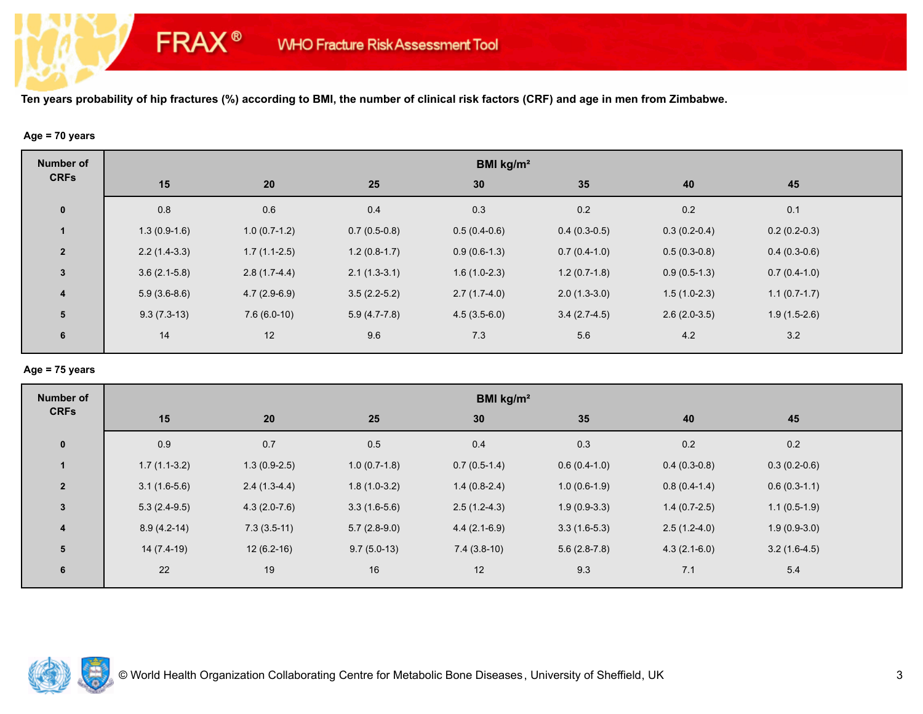# **Age = 70 years**

**FRAX®** 

| <b>Number of</b>        |                |                |                | BMI kg/m <sup>2</sup> |                |                |                |  |
|-------------------------|----------------|----------------|----------------|-----------------------|----------------|----------------|----------------|--|
| <b>CRFs</b>             | 15             | 20             | 25             | 30                    | 35             | 40             | 45             |  |
| $\pmb{0}$               | 0.8            | 0.6            | 0.4            | 0.3                   | 0.2            | 0.2            | 0.1            |  |
|                         | $1.3(0.9-1.6)$ | $1.0(0.7-1.2)$ | $0.7(0.5-0.8)$ | $0.5(0.4-0.6)$        | $0.4(0.3-0.5)$ | $0.3(0.2-0.4)$ | $0.2(0.2-0.3)$ |  |
| $\overline{2}$          | $2.2(1.4-3.3)$ | $1.7(1.1-2.5)$ | $1.2(0.8-1.7)$ | $0.9(0.6-1.3)$        | $0.7(0.4-1.0)$ | $0.5(0.3-0.8)$ | $0.4(0.3-0.6)$ |  |
| $\mathbf{3}$            | $3.6(2.1-5.8)$ | $2.8(1.7-4.4)$ | $2.1(1.3-3.1)$ | $1.6(1.0-2.3)$        | $1.2(0.7-1.8)$ | $0.9(0.5-1.3)$ | $0.7(0.4-1.0)$ |  |
| $\overline{\mathbf{4}}$ | $5.9(3.6-8.6)$ | $4.7(2.9-6.9)$ | $3.5(2.2-5.2)$ | $2.7(1.7-4.0)$        | $2.0(1.3-3.0)$ | $1.5(1.0-2.3)$ | $1.1(0.7-1.7)$ |  |
| 5                       | $9.3(7.3-13)$  | $7.6(6.0-10)$  | $5.9(4.7-7.8)$ | $4.5(3.5-6.0)$        | $3.4(2.7-4.5)$ | $2.6(2.0-3.5)$ | $1.9(1.5-2.6)$ |  |
| 6                       | 14             | 12             | 9.6            | 7.3                   | 5.6            | 4.2            | 3.2            |  |
|                         |                |                |                |                       |                |                |                |  |

### **Age = 75 years**

| <b>Number of</b>        | BMI kg/m <sup>2</sup> |                |                |                |                |                |                |  |
|-------------------------|-----------------------|----------------|----------------|----------------|----------------|----------------|----------------|--|
| <b>CRFs</b>             | 15                    | 20             | 25             | 30             | 35             | 40             | 45             |  |
| $\mathbf{0}$            | 0.9                   | 0.7            | 0.5            | 0.4            | 0.3            | 0.2            | 0.2            |  |
| $\mathbf{1}$            | $1.7(1.1-3.2)$        | $1.3(0.9-2.5)$ | $1.0(0.7-1.8)$ | $0.7(0.5-1.4)$ | $0.6(0.4-1.0)$ | $0.4(0.3-0.8)$ | $0.3(0.2-0.6)$ |  |
| $\overline{2}$          | $3.1(1.6-5.6)$        | $2.4(1.3-4.4)$ | $1.8(1.0-3.2)$ | $1.4(0.8-2.4)$ | $1.0(0.6-1.9)$ | $0.8(0.4-1.4)$ | $0.6(0.3-1.1)$ |  |
| $\mathbf{3}$            | $5.3(2.4-9.5)$        | $4.3(2.0-7.6)$ | $3.3(1.6-5.6)$ | $2.5(1.2-4.3)$ | $1.9(0.9-3.3)$ | $1.4(0.7-2.5)$ | $1.1(0.5-1.9)$ |  |
| $\overline{\mathbf{4}}$ | $8.9(4.2-14)$         | $7.3(3.5-11)$  | $5.7(2.8-9.0)$ | $4.4(2.1-6.9)$ | $3.3(1.6-5.3)$ | $2.5(1.2-4.0)$ | $1.9(0.9-3.0)$ |  |
| 5                       | $14(7.4-19)$          | $12(6.2-16)$   | $9.7(5.0-13)$  | $7.4(3.8-10)$  | $5.6(2.8-7.8)$ | $4.3(2.1-6.0)$ | $3.2(1.6-4.5)$ |  |
| 6                       | 22                    | 19             | 16             | 12             | 9.3            | 7.1            | 5.4            |  |

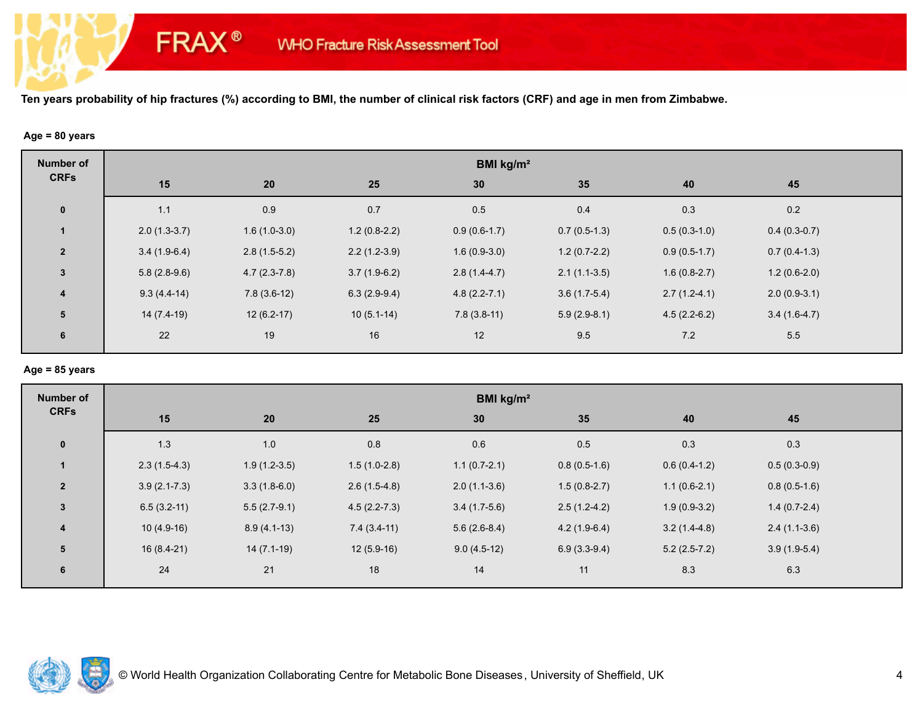#### **Age = 80 years**

**FRAX®** 

| <b>Number of</b>        | BMI kg/m <sup>2</sup> |                |                |                  |                |                |                |  |  |
|-------------------------|-----------------------|----------------|----------------|------------------|----------------|----------------|----------------|--|--|
| <b>CRFs</b>             | 15                    | 20             | 25             | 30 <sup>°</sup>  | 35             | 40             | 45             |  |  |
| $\pmb{0}$               | 1.1                   | 0.9            | 0.7            | 0.5              | 0.4            | 0.3            | 0.2            |  |  |
|                         | $2.0(1.3-3.7)$        | $1.6(1.0-3.0)$ | $1.2(0.8-2.2)$ | $0.9(0.6-1.7)$   | $0.7(0.5-1.3)$ | $0.5(0.3-1.0)$ | $0.4(0.3-0.7)$ |  |  |
| $\overline{2}$          | $3.4(1.9-6.4)$        | $2.8(1.5-5.2)$ | $2.2(1.2-3.9)$ | $1.6(0.9-3.0)$   | $1.2(0.7-2.2)$ | $0.9(0.5-1.7)$ | $0.7(0.4-1.3)$ |  |  |
| $\mathbf{3}$            | $5.8(2.8-9.6)$        | $4.7(2.3-7.8)$ | $3.7(1.9-6.2)$ | $2.8(1.4-4.7)$   | $2.1(1.1-3.5)$ | $1.6(0.8-2.7)$ | $1.2(0.6-2.0)$ |  |  |
| $\overline{\mathbf{4}}$ | $9.3(4.4-14)$         | $7.8(3.6-12)$  | $6.3(2.9-9.4)$ | $4.8(2.2 - 7.1)$ | $3.6(1.7-5.4)$ | $2.7(1.2-4.1)$ | $2.0(0.9-3.1)$ |  |  |
| 5                       | 14 (7.4-19)           | $12(6.2-17)$   | $10(5.1-14)$   | $7.8(3.8-11)$    | $5.9(2.9-8.1)$ | $4.5(2.2-6.2)$ | $3.4(1.6-4.7)$ |  |  |
| 6                       | 22                    | 19             | 16             | 12               | 9.5            | 7.2            | 5.5            |  |  |
|                         |                       |                |                |                  |                |                |                |  |  |

# **Age = 85 years**

| <b>Number of</b> | BMI kg/m <sup>2</sup> |                |                  |                |                |                |                |  |
|------------------|-----------------------|----------------|------------------|----------------|----------------|----------------|----------------|--|
| <b>CRFs</b>      | 15                    | 20             | 25               | 30             | 35             | 40             | 45             |  |
| $\bf{0}$         | 1.3                   | 1.0            | 0.8              | 0.6            | 0.5            | 0.3            | 0.3            |  |
| $\mathbf{1}$     | $2.3(1.5-4.3)$        | $1.9(1.2-3.5)$ | $1.5(1.0-2.8)$   | $1.1(0.7-2.1)$ | $0.8(0.5-1.6)$ | $0.6(0.4-1.2)$ | $0.5(0.3-0.9)$ |  |
| $\overline{2}$   | $3.9(2.1 - 7.3)$      | $3.3(1.8-6.0)$ | $2.6(1.5-4.8)$   | $2.0(1.1-3.6)$ | $1.5(0.8-2.7)$ | $1.1(0.6-2.1)$ | $0.8(0.5-1.6)$ |  |
| $\mathbf{3}$     | $6.5(3.2-11)$         | $5.5(2.7-9.1)$ | $4.5(2.2 - 7.3)$ | $3.4(1.7-5.6)$ | $2.5(1.2-4.2)$ | $1.9(0.9-3.2)$ | $1.4(0.7-2.4)$ |  |
| $\overline{4}$   | $10(4.9-16)$          | $8.9(4.1-13)$  | $7.4(3.4-11)$    | $5.6(2.6-8.4)$ | $4.2(1.9-6.4)$ | $3.2(1.4-4.8)$ | $2.4(1.1-3.6)$ |  |
| 5                | $16(8.4-21)$          | $14(7.1-19)$   | $12(5.9-16)$     | $9.0(4.5-12)$  | $6.9(3.3-9.4)$ | $5.2(2.5-7.2)$ | $3.9(1.9-5.4)$ |  |
| 6                | 24                    | 21             | 18               | 14             | 11             | 8.3            | 6.3            |  |